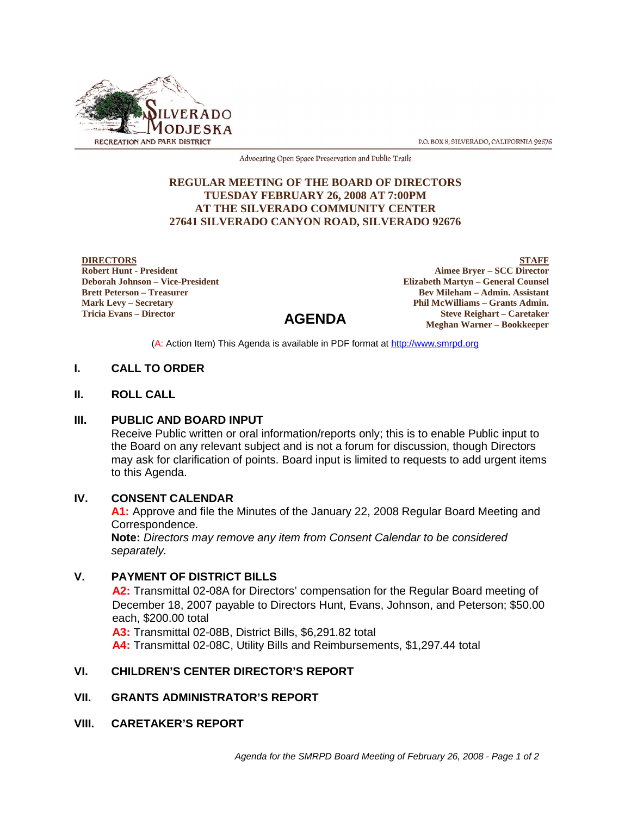

P.O. BOX 8, SILVERADO, CALIFORNIA 92676

Advocating Open Space Preservation and Public Trails

#### **REGULAR MEETING OF THE BOARD OF DIRECTORS TUESDAY FEBRUARY 26, 2008 AT 7:00PM AT THE SILVERADO COMMUNITY CENTER 27641 SILVERADO CANYON ROAD, SILVERADO 92676**

**DIRECTORS Robert Hunt - President Deborah Johnson – Vice-President Brett Peterson – Treasurer Mark Levy – Secretary Tricia Evans – Director**

**STAFF**

# **AGENDA**

**Aimee Bryer – SCC Director Elizabeth Martyn – General Counsel Bev Mileham – Admin. Assistant Phil McWilliams – Grants Admin. Steve Reighart – Caretaker Meghan Warner – Bookkeeper**

(A: Action Item) This Agenda is available in PDF format at http://www.smrpd.org

### **I. CALL TO ORDER**

## **II. ROLL CALL**

#### **III. PUBLIC AND BOARD INPUT**

Receive Public written or oral information/reports only; this is to enable Public input to the Board on any relevant subject and is not a forum for discussion, though Directors may ask for clarification of points. Board input is limited to requests to add urgent items to this Agenda.

#### **IV. CONSENT CALENDAR**

**A1:** Approve and file the Minutes of the January 22, 2008 Regular Board Meeting and Correspondence.

**Note:** *Directors may remove any item from Consent Calendar to be considered separately.*

#### **V. PAYMENT OF DISTRICT BILLS**

**A2:** Transmittal 02-08A for Directors' compensation for the Regular Board meeting of December 18, 2007 payable to Directors Hunt, Evans, Johnson, and Peterson; \$50.00 each, \$200.00 total

**A3:** Transmittal 02-08B, District Bills, \$6,291.82 total

**A4:** Transmittal 02-08C, Utility Bills and Reimbursements, \$1,297.44 total

## **VI. CHILDREN'S CENTER DIRECTOR'S REPORT**

## **VII. GRANTS ADMINISTRATOR'S REPORT**

**VIII. CARETAKER'S REPORT**